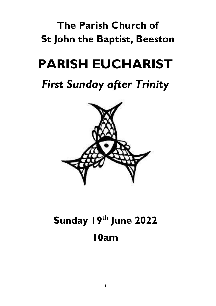## **The Parish Church of St John the Baptist, Beeston**

# **PARISH EUCHARIST**

## *First Sunday after Trinity*



# **Sunday 19 th June 2022 10am**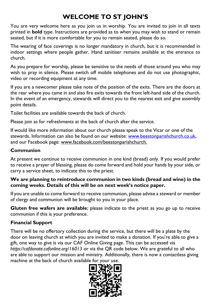## **WELCOME TO ST JOHN'S**

You are very welcome here as you join us in worship. You are invited to join in all texts printed in **bold** type. Instructions are provided as to when you may wish to stand or remain seated, but if it is more comfortable for you to remain seated, please do so.

The wearing of face coverings is no longer mandatory in church, but it is recommended in indoor settings where people gather. Hand sanitiser remains available at the entrance to church.

As you prepare for worship, please be sensitive to the needs of those around you who may wish to pray in silence. Please switch off mobile telephones and do not use photographic, video or recording equipment at any time.

If you are a newcomer please take note of the position of the exits. There are the doors at the rear where you came in and also fire exits towards the front left-hand side of the church. In the event of an emergency, stewards will direct you to the nearest exit and give assembly point details.

Toilet facilities are available towards the back of church.

Please join as for refreshments at the back of church after the service.

If would like more information about our church please speak to the Vicar or one of the stewards. Information can also be found on our website: [www.beestonparishchurch.co.uk,](http://www.beestonparishchurch.co.uk/) and our Facebook page: [www.facebook.com/beestonparishchurch.](http://www.facebook.com/beestonparishchurch)

#### **Communion**

At present we continue to receive communion in one kind (bread) only. If you would prefer to receive a prayer of blessing, please do come forward and hold your hands by your side, or carry a service sheet, to indicate this to the priest.

#### **We are planning to reintroduce communion in two kinds (bread and wine) in the coming weeks. Details of this will be on next week's notice paper.**

If you are unable to come forward to receive communion, please advise a steward or member of clergy and communion will be brought to you in your place.

**Gluten free wafers are available**; please indicate to the priest as you go up to receive communion if this is your preference.

#### **Financial Support**

There will be no offertory collection during the service, but there will be a plate by the door on leaving church at which you are invited to make a donation. If you're able to give a gift, one way to give is via our CAF Online Giving page. This can be accessed via *<https://cafdonate.cafonline.org/16013>* or via the QR code below. We are grateful to all who are able to support our mission and ministry. Additionally, there is now a contactless giving machine at the back of church available for your use.

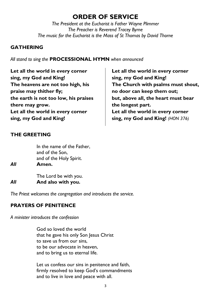### **ORDER OF SERVICE**

*The President at the Eucharist is Father Wayne Plimmer The Preacher is Reverend Tracey Byrne The music for the Eucharist is the Mass of St Thomas by David Thorne*

#### **GATHERING**

*All stand to sing the* **PROCESSIONAL HYMN** *when announced*

**Let all the world in every corner sing, my God and King! The heavens are not too high, his praise may thither fly; the earth is not too low, his praises there may grow. Let all the world in every corner sing, my God and King!**

#### **THE GREETING**

*All* **Amen.**

| In the name of the Father, |  |
|----------------------------|--|
| and of the Son,            |  |
| and of the Holy Spirit.    |  |
| Amen.                      |  |

The Lord be with you. *All* **And also with you.**

*The Priest welcomes the congregation and introduces the service.*

#### **PRAYERS OF PENITENCE**

*A minister introduces the confession*

God so loved the world that he gave his only Son Jesus Christ to save us from our sins, to be our advocate in heaven, and to bring us to eternal life.

Let us confess our sins in penitence and faith, firmly resolved to keep God's commandments and to live in love and peace with all.

**Let all the world in every corner sing, my God and King! The Church with psalms must shout, no door can keep them out; but, above all, the heart must bear the longest part. Let all the world in every corner sing, my God and King!** *(HON 376)*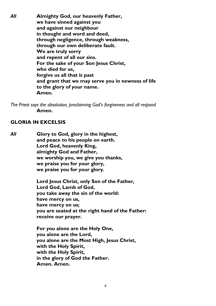*All* **Almighty God, our heavenly Father, we have sinned against you and against our neighbour in thought and word and deed, through negligence, through weakness, through our own deliberate fault. We are truly sorry and repent of all our sins. For the sake of your Son Jesus Christ, who died for us, forgive us all that is past and grant that we may serve you in newness of life to the glory of your name. Amen.**

*The Priest says the absolution, proclaiming God's forgiveness and all respond* **Amen.**

#### **GLORIA IN EXCELSIS**

*All* **Glory to God, glory in the highest, and peace to his people on earth. Lord God, heavenly King, almighty God and Father, we worship you, we give you thanks, we praise you for your glory, we praise you for your glory.**

> **Lord Jesus Christ, only Son of the Father, Lord God, Lamb of God, you take away the sin of the world: have mercy on us, have mercy on us; you are seated at the right hand of the Father: receive our prayer.**

**For you alone are the Holy One, you alone are the Lord, you alone are the Most High, Jesus Christ, with the Holy Spirit, with the Holy Spirit, in the glory of God the Father. Amen. Amen.**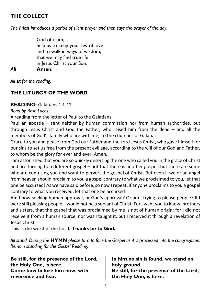#### **THE COLLECT**

*The Priest introduces a period of silent prayer and then says the prayer of the day.*

God of truth, help us to keep your law of love and to walk in ways of wisdom, that we may find true life in Jesus Christ your Son.

*All* **Amen.**

*All sit for the reading.*

#### **THE LITURGY OF THE WORD**

**READING:** Galatians 1.1-12

#### *Read by Rose Lucas*

A reading from the letter of Paul to the Galatians.

Paul an apostle – sent neither by human commission nor from human authorities, but through Jesus Christ and God the Father, who raised him from the dead – and all the members of God's family who are with me, To the churches of Galatia:

Grace to you and peace from God our Father and the Lord Jesus Christ, who gave himself for our sins to set us free from the present evil age, according to the will of our God and Father, to whom be the glory for ever and ever. Amen.

I am astonished that you are so quickly deserting the one who called you in the grace of Christ and are turning to a different gospel – not that there is another gospel, but there are some who are confusing you and want to pervert the gospel of Christ. But even if we or an angel from heaven should proclaim to you a gospel contrary to what we proclaimed to you, let that one be accursed! As we have said before, so now I repeat, if anyone proclaims to you a gospel contrary to what you received, let that one be accursed!

Am I now seeking human approval, or God's approval? Or am I trying to please people? If I were still pleasing people, I would not be a servant of Christ. For I want you to know, brothers and sisters, that the gospel that was proclaimed by me is not of human origin; for I did not receive it from a human source, nor was I taught it, but I received it through a revelation of Jesus Christ.

This is the word of the Lord. **Thanks be to God.**

*All stand. During the* **HYMN** *please turn to face the Gospel as it is processed into the congregation. Remain standing for the Gospel Reading.*

**Be still, for the presence of the Lord, the Holy One, is here. Come bow before him now, with reverence and fear.**

**In him no sin is found, we stand on holy ground. Be still, for the presence of the Lord, the Holy One, is here.**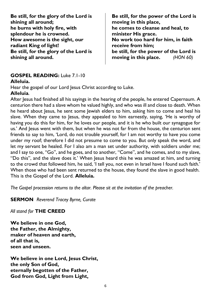**Be still, for the glory of the Lord is shining all around; he burns with holy fire, with splendour he is crowned. How awesome is the sight, our radiant King of light! Be still, for the glory of the Lord is shining all around.**

**Be still, for the power of the Lord is moving in this place, he comes to cleanse and heal, to minister His grace. No work too hard for him, in faith receive from him; be still, for the power of the Lord is moving in this place.** *(HON 60)*

#### **GOSPEL READING:** Luke 7.1-10

#### **Alleluia.**

Hear the gospel of our Lord Jesus Christ according to Luke. **Alleluia**.

After Jesus had finished all his sayings in the hearing of the people, he entered Capernaum. A centurion there had a slave whom he valued highly, and who was ill and close to death. When he heard about Jesus, he sent some Jewish elders to him, asking him to come and heal his slave. When they came to Jesus, they appealed to him earnestly, saying, 'He is worthy of having you do this for him, for he loves our people, and it is he who built our synagogue for us.' And Jesus went with them, but when he was not far from the house, the centurion sent friends to say to him, 'Lord, do not trouble yourself, for I am not worthy to have you come under my roof; therefore I did not presume to come to you. But only speak the word, and let my servant be healed. For I also am a man set under authority, with soldiers under me; and I say to one, "Go", and he goes, and to another, "Come", and he comes, and to my slave, "Do this", and the slave does it.' When Jesus heard this he was amazed at him, and turning to the crowd that followed him, he said, 'I tell you, not even in Israel have I found such faith.' When those who had been sent returned to the house, they found the slave in good health. This is the Gospel of the Lord. **Alleluia.**

*The Gospel procession returns to the altar. Please sit at the invitation of the preacher.*

**SERMON** *Reverend Tracey Byrne, Curate*

*All stand for* **THE CREED**

**We believe in one God, the Father, the Almighty, maker of heaven and earth, of all that is, seen and unseen.**

**We believe in one Lord, Jesus Christ, the only Son of God, eternally begotten of the Father, God from God, Light from Light,**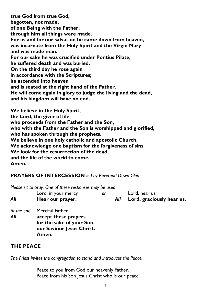**true God from true God, begotten, not made, of one Being with the Father; through him all things were made. For us and for our salvation he came down from heaven, was incarnate from the Holy Spirit and the Virgin Mary and was made man. For our sake he was crucified under Pontius Pilate; he suffered death and was buried. On the third day he rose again in accordance with the Scriptures; he ascended into heaven and is seated at the right hand of the Father. He will come again in glory to judge the living and the dead, and his kingdom will have no end.**

**We believe in the Holy Spirit, the Lord, the giver of life, who proceeds from the Father and the Son, who with the Father and the Son is worshipped and glorified, who has spoken through the prophets. We believe in one holy catholic and apostolic Church. We acknowledge one baptism for the forgiveness of sins. We look for the resurrection of the dead, and the life of the world to come. Amen.**

#### **PRAYERS OF INTERCESSION** *led by Reverend Dawn Glen*

| All | Hear our prayer.                                       | All | Lord, graciously hear us. |
|-----|--------------------------------------------------------|-----|---------------------------|
|     | Lord, in your mercy                                    | or  | Lord, hear us             |
|     | Please sit to pray. One of these responses may be used |     |                           |

*At the end* Merciful Father *All* **accept these prayers for the sake of your Son, our Saviour Jesus Christ. Amen.**

#### **THE PEACE**

*The Priest invites the congregation to stand and introduces the Peace.*

Peace to you from God our heavenly Father. Peace from his Son Jesus Christ who is our peace.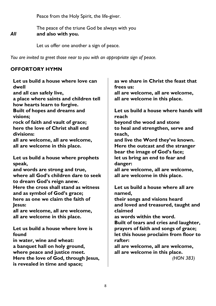Peace from the Holy Spirit, the life-giver.

The peace of the triune God be always with you *All* **and also with you.**

Let us offer one another a sign of peace.

*You are invited to greet those near to you with an appropriate sign of peace.*

#### **OFFORTORY HYMN**

| Let us build a house where love can<br>dwell                           | as we share in Christ the feast that<br>frees us: |
|------------------------------------------------------------------------|---------------------------------------------------|
| and all can safely live,                                               | all are welcome, all are welcome,                 |
| a place where saints and children tell                                 | all are welcome in this place.                    |
| how hearts learn to forgive.                                           |                                                   |
| <b>Built of hopes and dreams and</b><br>visions:                       | Let us build a house where hands will<br>reach    |
|                                                                        |                                                   |
| rock of faith and vault of grace;<br>here the love of Christ shall end | beyond the wood and stone                         |
| divisions:                                                             | to heal and strengthen, serve and                 |
|                                                                        | teach,                                            |
| all are welcome, all are welcome,                                      | and live the Word they've known.                  |
| all are welcome in this place.                                         | Here the outcast and the stranger                 |
|                                                                        | bear the image of God's face;                     |
| Let us build a house where prophets<br>speak,                          | let us bring an end to fear and<br>danger:        |
| and words are strong and true,                                         | all are welcome, all are welcome,                 |
| where all God's children dare to seek                                  | all are welcome in this place.                    |
| to dream God's reign anew.                                             |                                                   |
| Here the cross shall stand as witness                                  | Let us build a house where all are                |
| and as symbol of God's grace;                                          | named,                                            |
| here as one we claim the faith of                                      | their songs and visions heard                     |
| Jesus:                                                                 | and loved and treasured, taught and               |
| all are welcome, all are welcome,                                      | claimed                                           |
| all are welcome in this place.                                         | as words within the word.                         |
|                                                                        | Built of tears and cries and laughter,            |
| Let us build a house where love is                                     | prayers of faith and songs of grace;              |
| found                                                                  | let this house proclaim from floor to             |
| in water, wine and wheat:                                              | rafter:                                           |
| a banquet hall on holy ground,                                         | all are welcome, all are welcome,                 |
| where peace and justice meet.                                          | all are welcome in this place.                    |
| Here the love of God, through Jesus,                                   | (HON 383)                                         |
| is revealed in time and space;                                         |                                                   |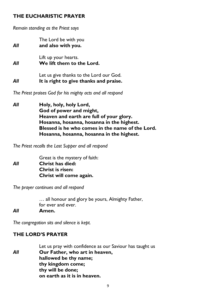#### **THE EUCHARISTIC PRAYER**

*Remain standing as the Priest says*

| All | The Lord be with you<br>and also with you.                                        |
|-----|-----------------------------------------------------------------------------------|
| All | Lift up your hearts.<br>We lift them to the Lord.                                 |
| All | Let us give thanks to the Lord our God.<br>It is right to give thanks and praise. |

*The Priest praises God for his mighty acts and all respond*

*All* **Holy, holy, holy Lord, God of power and might, Heaven and earth are full of your glory. Hosanna, hosanna, hosanna in the highest. Blessed is he who comes in the name of the Lord. Hosanna, hosanna, hosanna in the highest.**

*The Priest recalls the Last Supper and all respond*

Great is the mystery of faith:

*All* **Christ has died: Christ is risen: Christ will come again.**

*The prayer continues and all respond*

… all honour and glory be yours, Almighty Father, for ever and ever.

*All* **Amen.**

*The congregation sits and silence is kept.*

#### **THE LORD'S PRAYER**

Let us pray with confidence as our Saviour has taught us *All* **Our Father, who art in heaven, hallowed be thy name; thy kingdom come; thy will be done; on earth as it is in heaven.**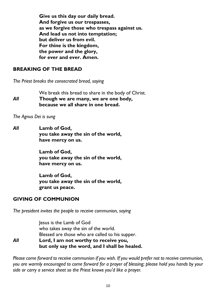**Give us this day our daily bread. And forgive us our trespasses, as we forgive those who trespass against us. And lead us not into temptation; but deliver us from evil. For thine is the kingdom, the power and the glory, for ever and ever. Amen.**

#### **BREAKING OF THE BREAD**

*The Priest breaks the consecrated bread, saying*

We break this bread to share in the body of Christ. *All* **Though we are many, we are one body, because we all share in one bread.**

*The Agnus Dei is sung*

*All* **Lamb of God, you take away the sin of the world, have mercy on us.**

> **Lamb of God, you take away the sin of the world, have mercy on us.**

> **Lamb of God, you take away the sin of the world, grant us peace.**

#### **GIVING OF COMMUNION**

*The president invites the people to receive communion, saying*

Jesus is the Lamb of God who takes away the sin of the world. Blessed are those who are called to his supper. *All* **Lord, I am not worthy to receive you, but only say the word, and I shall be healed.**

*Please come forward to receive communion if you wish. If you would prefer not to receive communion, you are warmly encouraged to come forward for a prayer of blessing; please hold you hands by your side or carry a service sheet so the Priest knows you'd like a prayer.*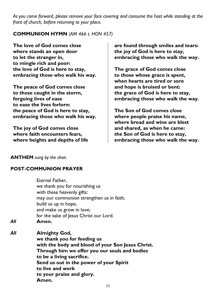*As you come forward, please remove your face covering and consume the host while standing at the front of church, before returning to your place.*

#### **COMMUNION HYMN** *(AM 466 t. HON 457)*

**The love of God comes close where stands an open door to let the stranger in, to mingle rich and poor: the love of God is here to stay, embracing those who walk his way.**

**The peace of God comes close to those caught in the storm, forgoing lives of ease to ease the lives forlorn: the peace of God is here to stay, embracing those who walk his way.**

**The joy of God comes close where faith encounters fears, where heights and depths of life**

**are found through smiles and tears: the joy of God is here to stay, embracing those who walk the way.**

**The grace of God comes close to those whose grace is spent, when hearts are tired or sore and hope is bruised or bent: the grace of God is here to stay, embracing those who walk the way.**

**The Son of God comes close where people praise his name, where bread and wine are blest and shared, as when he came: the Son of God is here to stay, embracing those who walk the way.**

**ANTHEM** *sung by the choir.*

#### **POST-COMMUNION PRAYER**

| All | Eternal Father,<br>we thank you for nourishing us<br>with these heavenly gifts:<br>may our communion strengthen us in faith,<br>build us up in hope,<br>and make us grow in love;<br>for the sake of Jesus Christ our Lord.<br>Amen.                                                        |
|-----|---------------------------------------------------------------------------------------------------------------------------------------------------------------------------------------------------------------------------------------------------------------------------------------------|
| All | <b>Almighty God,</b><br>we thank you for feeding us<br>with the body and blood of your Son Jesus Christ.<br>Through him we offer you our souls and bodies<br>to be a living sacrifice.<br>Send us out in the power of your Spirit<br>to live and work<br>to your praise and glory.<br>Amen. |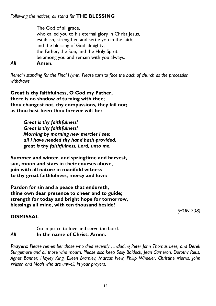#### *Following the notices, all stand for* **THE BLESSING**

The God of all grace, who called you to his eternal glory in Christ Jesus, establish, strengthen and settle you in the faith; and the blessing of God almighty, the Father, the Son, and the Holy Spirit, be among you and remain with you always. *All* **Amen.**

*Remain standing for the Final Hymn. Please turn to face the back of church as the procession withdraws.*

**Great is thy faithfulness, O God my Father, there is no shadow of turning with thee; thou changest not, thy compassions, they fail not; as thou hast been thou forever wilt be:**

> *Great is thy faithfulness! Great is thy faithfulness! Morning by morning new mercies I see; all I have needed thy hand hath provided, great is thy faithfulness, Lord, unto me.*

**Summer and winter, and springtime and harvest, sun, moon and stars in their courses above, join with all nature in manifold witness to thy great faithfulness, mercy and love:**

**Pardon for sin and a peace that endureth, thine own dear presence to cheer and to guide; strength for today and bright hope for tomorrow, blessings all mine, with ten thousand beside!**

*(HON 238)*

#### **DISMISSAL**

Go in peace to love and serve the Lord. *All* **In the name of Christ. Amen.**

*Prayers: Please remember those who died recently , including Peter John Thomas Lees, and Derek Stingemore and all those who mourn. Please also keep Sally Baldock, Jean Cameron, Dorothy Reus, Agnes Banner, Hayley King, Eileen Bramley, Marcus New, Philip Wheeler, Christine Morris, John Wilson and Noah who are unwell, in your prayers.*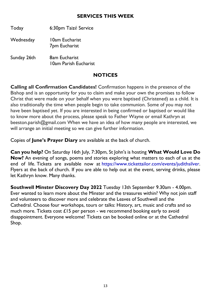#### **SERVICES THIS WEEK**

| Today       | 6:30pm Taizé Service                        |
|-------------|---------------------------------------------|
| Wednesday   | 10am Eucharist<br>7 <sub>pm</sub> Eucharist |
| Sunday 26th | 8am Eucharist<br>10am Parish Eucharist      |

#### **NOTICES**

**Calling all Confirmation Candidates!** Confirmation happens in the presence of the Bishop and is an opportunity for you to claim and make your own the promises to follow Christ that were made on your behalf when you were baptised (Christened) as a child. It is also traditionally the time when people begin to take communion. Some of you may not have been baptised yet. If you are interested in being confirmed or baptised or would like to know more about the process, please speak to Father Wayne or email Kathryn at beeston.parish@gmail.com When we have an idea of how many people are interested, we will arrange an initial meeting so we can give further information.

Copies of **June's Prayer Diary** are available at the back of church.

**Can you help?** On Saturday 16th July, 7:30pm, St John's is hosting **What Would Love Do Now?** An evening of songs, poems and stories exploring what matters to each of us at the end of life. Tickets are available now at [https://www.tickettailor.com/events/judithsilver.](https://beestonparishchurch.us19.list-manage.com/track/click?u=2c1a11c83f85520586cc09955&id=90d6a2c441&e=f18c2c69cd) Flyers at the back of church. If you are able to help out at the event, serving drinks, please let Kathryn know. Many thanks.

**Southwell Minster Discovery Day 2022** Tuesday 13th September 9.30am - 4.00pm. Ever wanted to learn more about the Minster and the treasures within? Why not join staff and volunteers to discover more and celebrate the Leaves of Southwell and the Cathedral. Choose four workshops, tours or talks: History, art, music and crafts and so much more. Tickets cost £15 per person - we recommend booking early to avoid disappointment. Everyone welcome! Tickets can be booked online or at the Cathedral Shop.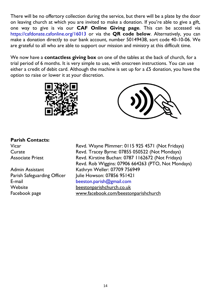There will be no offertory collection during the service, but there will be a plate by the door on leaving church at which you are invited to make a donation. If you're able to give a gift, one way to give is via our **CAF Online Giving page**. This can be accessed via <https://cafdonate.cafonline.org/16013> or via the **QR code below**. Alternatively, you can make a donation directly to our bank account, number 50149438, sort code 40-10-06. We are grateful to all who are able to support our mission and ministry at this difficult time.

We now have a **contactless giving box** on one of the tables at the back of church, for a trial period of 6 months. It is very simple to use, with onscreen instructions. You can use either a credit of debit card. Although the machine is set up for a  $£5$  donation, you have the option to raise or lower it at your discretion.





#### **Parish Contacts:**

E-mail [beeston.parish@gmail.com](mailto:beeston.parish@gmail.com) Website beestonparishchurch.co.uk

Vicar Revd. Wayne Plimmer: 0115 925 4571 (Not Fridays) Curate Revd. Tracey Byrne: 07855 050522 (Not Mondays) Associate Priest **Revd. Kirstine Buchan: 0787 1162672 (Not Fridays)** Revd. Rob Wiggins: 07906 664263 (PTO, Not Mondays) Admin Assistant Kathryn Weller: 07709 756949 Parish Safeguarding Officer Julie Howson: 07856 951421 Facebook page [www.facebook.com/beestonparishchurch](http://www.facebook.com/beestonparishchurch)